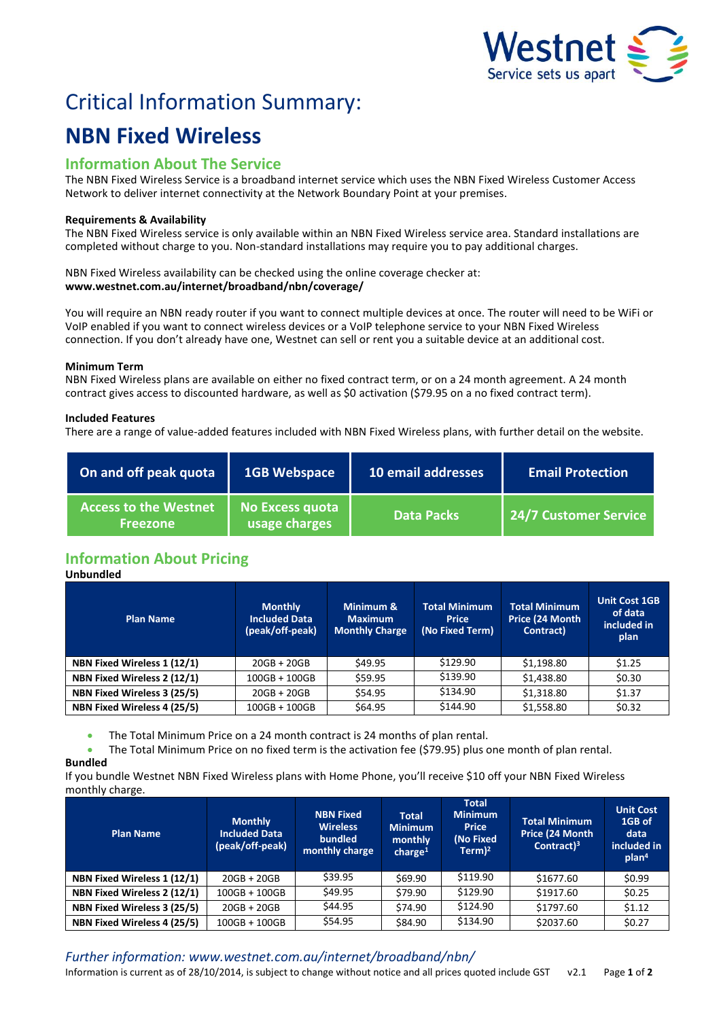

# Critical Information Summary:

## **NBN Fixed Wireless**

### **Information About The Service**

The NBN Fixed Wireless Service is a broadband internet service which uses the NBN Fixed Wireless Customer Access Network to deliver internet connectivity at the Network Boundary Point at your premises.

#### **Requirements & Availability**

The NBN Fixed Wireless service is only available within an NBN Fixed Wireless service area. Standard installations are completed without charge to you. Non-standard installations may require you to pay additional charges.

NBN Fixed Wireless availability can be checked using the online coverage checker at: **www.westnet.com.au/internet/broadband/nbn/coverage/**

You will require an NBN ready router if you want to connect multiple devices at once. The router will need to be WiFi or VoIP enabled if you want to connect wireless devices or a VoIP telephone service to your NBN Fixed Wireless connection. If you don't already have one, Westnet can sell or rent you a suitable device at an additional cost.

#### **Minimum Term**

NBN Fixed Wireless plans are available on either no fixed contract term, or on a 24 month agreement. A 24 month contract gives access to discounted hardware, as well as \$0 activation (\$79.95 on a no fixed contract term).

#### **Included Features**

There are a range of value-added features included with NBN Fixed Wireless plans, with further detail on the website.

| On and off peak quota                           | <b>1GB Webspace</b>              | 10 email addresses | <b>Email Protection</b> |
|-------------------------------------------------|----------------------------------|--------------------|-------------------------|
| <b>Access to the Westnet</b><br><b>Freezone</b> | No Excess quota<br>usage charges | <b>Data Packs</b>  | 24/7 Customer Service   |

## **Information About Pricing**

**Unbundled**

| <b>Plan Name</b>            | <b>Monthly</b><br><b>Included Data</b><br>(peak/off-peak) | Minimum &<br><b>Maximum</b><br><b>Monthly Charge</b> | <b>Total Minimum</b><br><b>Price</b><br>(No Fixed Term) | <b>Total Minimum</b><br>Price (24 Month<br>Contract) | <b>Unit Cost 1GB</b><br>of data<br>included in<br>plan |
|-----------------------------|-----------------------------------------------------------|------------------------------------------------------|---------------------------------------------------------|------------------------------------------------------|--------------------------------------------------------|
| NBN Fixed Wireless 1 (12/1) | $20GB + 20GB$                                             | <b>S49.95</b>                                        | \$129.90                                                | \$1,198.80                                           | \$1.25                                                 |
| NBN Fixed Wireless 2 (12/1) | $100GB + 100GB$                                           | \$59.95                                              | \$139.90                                                | \$1,438.80                                           | \$0.30                                                 |
| NBN Fixed Wireless 3 (25/5) | $20GB + 20GB$                                             | \$54.95                                              | \$134.90                                                | \$1,318.80                                           | \$1.37                                                 |
| NBN Fixed Wireless 4 (25/5) | $100GB + 100GB$                                           | \$64.95                                              | \$144.90                                                | \$1,558.80                                           | \$0.32                                                 |

The Total Minimum Price on a 24 month contract is 24 months of plan rental.

The Total Minimum Price on no fixed term is the activation fee (\$79.95) plus one month of plan rental.

#### **Bundled**

If you bundle Westnet NBN Fixed Wireless plans with Home Phone, you'll receive \$10 off your NBN Fixed Wireless monthly charge.

| <b>Plan Name</b>            | <b>Monthly</b><br><b>Included Data</b><br>(peak/off-peak) | <b>NBN Fixed</b><br><b>Wireless</b><br><b>bundled</b><br>monthly charge | <b>Total</b><br><b>Minimum</b><br>monthly<br>charge <sup>1</sup> | <b>Total</b><br><b>Minimum</b><br><b>Price</b><br>(No Fixed<br>Term $)^2$ | <b>Total Minimum</b><br>Price (24 Month<br>Contract $)^3$ | <b>Unit Cost</b><br>1GB of<br>data<br>included in<br>plan <sup>4</sup> |
|-----------------------------|-----------------------------------------------------------|-------------------------------------------------------------------------|------------------------------------------------------------------|---------------------------------------------------------------------------|-----------------------------------------------------------|------------------------------------------------------------------------|
| NBN Fixed Wireless 1 (12/1) | $20GB + 20GB$                                             | \$39.95                                                                 | \$69.90                                                          | \$119.90                                                                  | \$1677.60                                                 | \$0.99                                                                 |
| NBN Fixed Wireless 2 (12/1) | $100GB + 100GB$                                           | \$49.95                                                                 | \$79.90                                                          | \$129.90                                                                  | \$1917.60                                                 | \$0.25                                                                 |
| NBN Fixed Wireless 3 (25/5) | $20GB + 20GB$                                             | \$44.95                                                                 | \$74.90                                                          | \$124.90                                                                  | \$1797.60                                                 | \$1.12                                                                 |
| NBN Fixed Wireless 4 (25/5) | $100GB + 100GB$                                           | \$54.95                                                                 | \$84.90                                                          | \$134.90                                                                  | \$2037.60                                                 | \$0.27                                                                 |

### *Further information: www.westnet.com.au/internet/broadband/nbn/*

Information is current as of 28/10/2014, is subject to change without notice and all prices quoted include GST v2.1 Page **1** of **2**